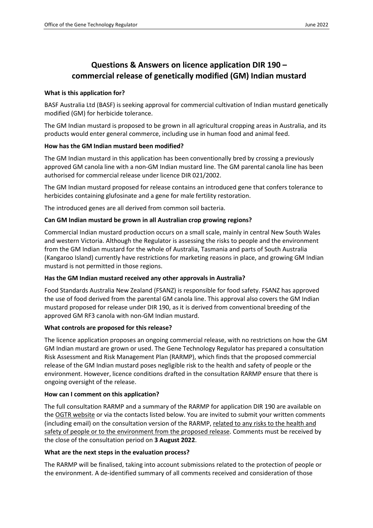## **Questions & Answers on licence application DIR 190 – commercial release of genetically modified (GM) Indian mustard**

#### **What is this application for?**

BASF Australia Ltd (BASF) is seeking approval for commercial cultivation of Indian mustard genetically modified (GM) for herbicide tolerance.

The GM Indian mustard is proposed to be grown in all agricultural cropping areas in Australia, and its products would enter general commerce, including use in human food and animal feed.

#### **How has the GM Indian mustard been modified?**

The GM Indian mustard in this application has been conventionally bred by crossing a previously approved GM canola line with a non-GM Indian mustard line. The GM parental canola line has been authorised for commercial release under licence DIR 021/2002.

The GM Indian mustard proposed for release contains an introduced gene that confers tolerance to herbicides containing glufosinate and a gene for male fertility restoration.

The introduced genes are all derived from common soil bacteria.

### **Can GM Indian mustard be grown in all Australian crop growing regions?**

Commercial Indian mustard production occurs on a small scale, mainly in central New South Wales and western Victoria. Although the Regulator is assessing the risks to people and the environment from the GM Indian mustard for the whole of Australia, Tasmania and parts of South Australia (Kangaroo Island) currently have restrictions for marketing reasons in place, and growing GM Indian mustard is not permitted in those regions.

### **Has the GM Indian mustard received any other approvals in Australia?**

Food Standards Australia New Zealand (FSANZ) is responsible for food safety. FSANZ has approved the use of food derived from the parental GM canola line. This approval also covers the GM Indian mustard proposed for release under DIR 190, as it is derived from conventional breeding of the approved GM RF3 canola with non-GM Indian mustard.

### **What controls are proposed for this release?**

The licence application proposes an ongoing commercial release, with no restrictions on how the GM GM Indian mustard are grown or used. The Gene Technology Regulator has prepared a consultation Risk Assessment and Risk Management Plan (RARMP), which finds that the proposed commercial release of the GM Indian mustard poses negligible risk to the health and safety of people or the environment. However, licence conditions drafted in the consultation RARMP ensure that there is ongoing oversight of the release.

### **How can I comment on this application?**

The full consultation RARMP and a summary of the RARMP for application DIR 190 are available on the [OGTR website](https://www.ogtr.gov.au/what-weve-approved/dealings-involving-intentional-release) or via the contacts listed below. You are invited to submit your written comments (including email) on the consultation version of the RARMP, related to any risks to the health and safety of people or to the environment from the proposed release. Comments must be received by the close of the consultation period on **3 August 2022**.

### **What are the next steps in the evaluation process?**

The RARMP will be finalised, taking into account submissions related to the protection of people or the environment. A de-identified summary of all comments received and consideration of those